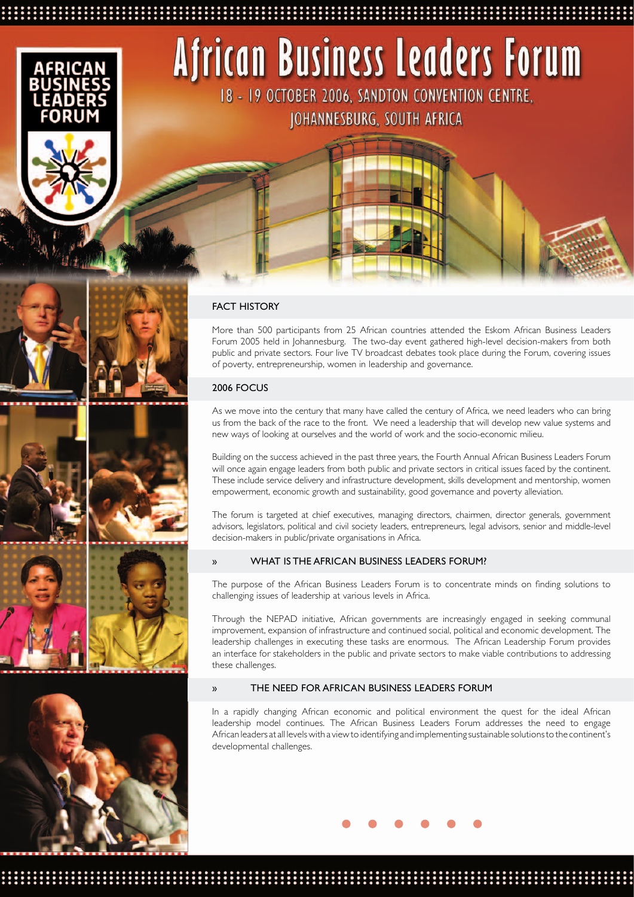







# African Business Leaders Forum

18 - 19 OCTOBER 2006, SANDTON CONVENTION CENTRE, JOHANNESBURG, SOUTH AFRICA

# FACT HISTORY

More than 500 participants from 25 African countries attended the Eskom African Business Leaders Forum 2005 held in Johannesburg. The two-day event gathered high-level decision-makers from both public and private sectors. Four live TV broadcast debates took place during the Forum, covering issues of poverty, entrepreneurship, women in leadership and governance.

# 2006 FOCUS

As we move into the century that many have called the century of Africa, we need leaders who can bring us from the back of the race to the front. We need a leadership that will develop new value systems and new ways of looking at ourselves and the world of work and the socio-economic milieu.

Building on the success achieved in the past three years, the Fourth Annual African Business Leaders Forum will once again engage leaders from both public and private sectors in critical issues faced by the continent. These include service delivery and infrastructure development, skills development and mentorship, women empowerment, economic growth and sustainability, good governance and poverty alleviation.

The forum is targeted at chief executives, managing directors, chairmen, director generals, government advisors, legislators, political and civil society leaders, entrepreneurs, legal advisors, senior and middle-level decision-makers in public/private organisations in Africa.

## » WHAT IS THE AFRICAN BUSINESS LEADERS FORUM?

The purpose of the African Business Leaders Forum is to concentrate minds on finding solutions to challenging issues of leadership at various levels in Africa.

Through the NEPAD initiative, African governments are increasingly engaged in seeking communal improvement, expansion of infrastructure and continued social, political and economic development. The leadership challenges in executing these tasks are enormous. The African Leadership Forum provides an interface for stakeholders in the public and private sectors to make viable contributions to addressing these challenges.

### » THE NEED FOR AFRICAN BUSINESS LEADERS FORUM

In a rapidly changing African economic and political environment the quest for the ideal African leadership model continues. The African Business Leaders Forum addresses the need to engage African leaders at all levels with a view to identifying and implementing sustainable solutions to the continent's developmental challenges.

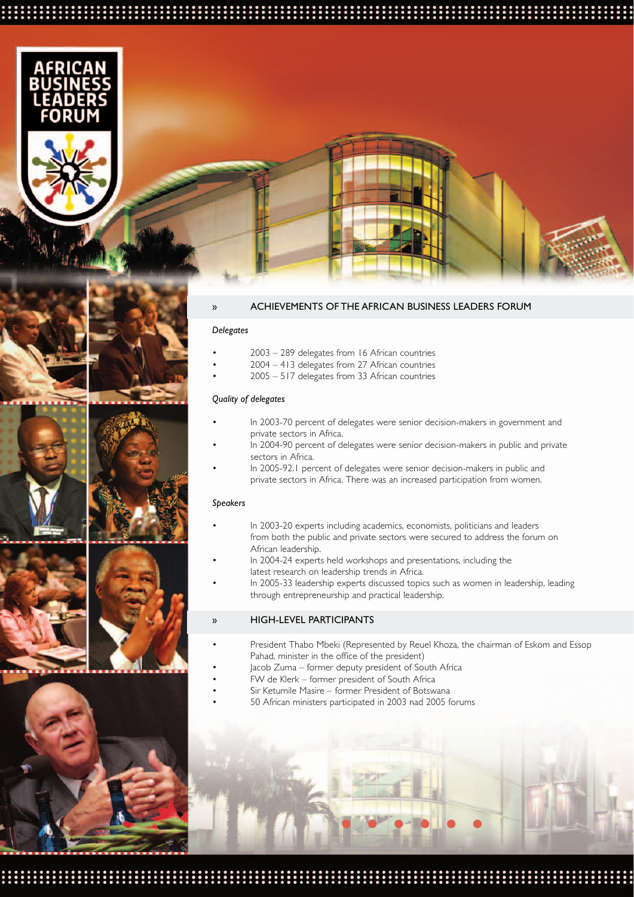









#### *Delegates*

- 2003 289 delegates from 16 African countries
- 2004 413 delegates from 27 African countries
- 2005 517 delegates from 33 African countries

#### *Quality of delegates*

- In 2003-70 percent of delegates were senior decision-makers in government and private sectors in Africa.
- In 2004-90 percent of delegates were senior decision-makers in public and private sectors in Africa.
- In 2005-92.1 percent of delegates were senior decision-makers in public and private sectors in Africa. There was an increased participation from women.

#### *Speakers*

- In 2003-20 experts including academics, economists, politicians and leaders from both the public and private sectors were secured to address the forum on African leadership.
- In 2004-24 experts held workshops and presentations, including the latest research on leadership trends in Africa.
- In 2005-33 leadership experts discussed topics such as women in leadership, leading through entrepreneurship and practical leadership.

#### » HIGH-LEVEL PARTICIPANTS

- President Thabo Mbeki (Represented by Reuel Khoza, the chairman of Eskom and Essop Pahad, minister in the office of the president)
- Jacob Zuma former deputy president of South Africa
- FW de Klerk former president of South Africa
- Sir Ketumile Masire former President of Botswana
- 50 African ministers participated in 2003 nad 2005 forums